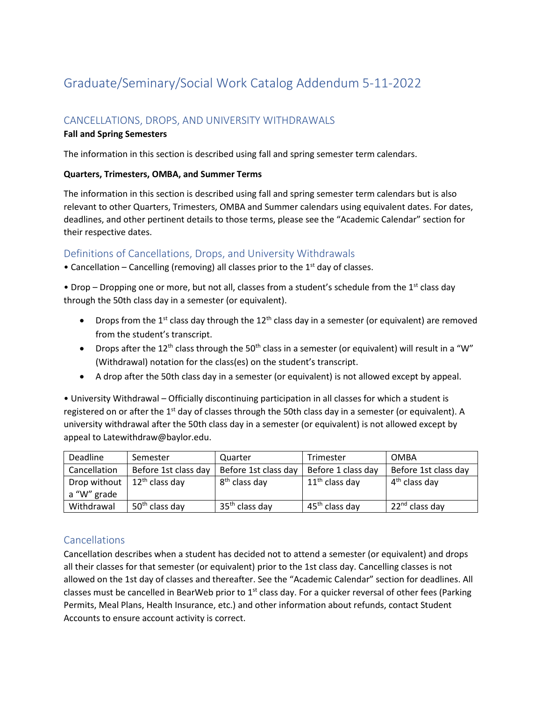# Graduate/Seminary/Social Work Catalog Addendum 5-11-2022

# CANCELLATIONS, DROPS, AND UNIVERSITY WITHDRAWALS

## **Fall and Spring Semesters**

The information in this section is described using fall and spring semester term calendars.

## **Quarters, Trimesters, OMBA, and Summer Terms**

The information in this section is described using fall and spring semester term calendars but is also relevant to other Quarters, Trimesters, OMBA and Summer calendars using equivalent dates. For dates, deadlines, and other pertinent details to those terms, please see the "Academic Calendar" section for their respective dates.

## Definitions of Cancellations, Drops, and University Withdrawals

• Cancellation – Cancelling (removing) all classes prior to the  $1<sup>st</sup>$  day of classes.

• Drop – Dropping one or more, but not all, classes from a student's schedule from the  $1<sup>st</sup>$  class day through the 50th class day in a semester (or equivalent).

- Drops from the 1<sup>st</sup> class day through the 12<sup>th</sup> class day in a semester (or equivalent) are removed from the student's transcript.
- Drops after the 12<sup>th</sup> class through the 50<sup>th</sup> class in a semester (or equivalent) will result in a "W" (Withdrawal) notation for the class(es) on the student's transcript.
- A drop after the 50th class day in a semester (or equivalent) is not allowed except by appeal.

• University Withdrawal – Officially discontinuing participation in all classes for which a student is registered on or after the  $1<sup>st</sup>$  day of classes through the 50th class day in a semester (or equivalent). A university withdrawal after the 50th class day in a semester (or equivalent) is not allowed except by appeal to Latewithdraw@baylor.edu.

| Deadline     | Semester                   | Quarter                    | Trimester          | <b>OMBA</b>                |
|--------------|----------------------------|----------------------------|--------------------|----------------------------|
| Cancellation | Before 1st class day       | Before 1st class day       | Before 1 class day | Before 1st class day       |
| Drop without | $12th$ class day           | 8 <sup>th</sup> class day  | $11th$ class day   | 4 <sup>th</sup> class day  |
| a "W" grade  |                            |                            |                    |                            |
| Withdrawal   | 50 <sup>th</sup> class day | 35 <sup>th</sup> class day | $45th$ class day   | 22 <sup>nd</sup> class day |

# Cancellations

Cancellation describes when a student has decided not to attend a semester (or equivalent) and drops all their classes for that semester (or equivalent) prior to the 1st class day. Cancelling classes is not allowed on the 1st day of classes and thereafter. See the "Academic Calendar" section for deadlines. All classes must be cancelled in BearWeb prior to  $1<sup>st</sup>$  class day. For a quicker reversal of other fees (Parking Permits, Meal Plans, Health Insurance, etc.) and other information about refunds, contact Student Accounts to ensure account activity is correct.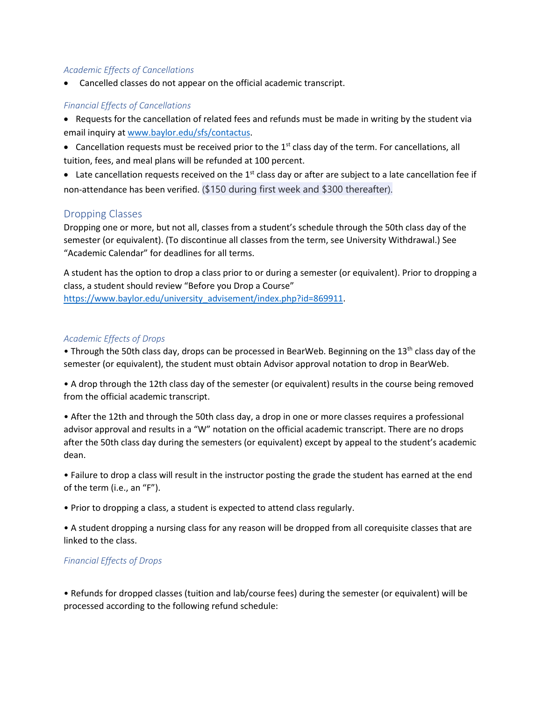#### *Academic Effects of Cancellations*

• Cancelled classes do not appear on the official academic transcript.

#### *Financial Effects of Cancellations*

- Requests for the cancellation of related fees and refunds must be made in writing by the student via email inquiry at [www.baylor.edu/sfs/contactus.](http://www.baylor.edu/sfs/contactus)
- Cancellation requests must be received prior to the 1<sup>st</sup> class day of the term. For cancellations, all tuition, fees, and meal plans will be refunded at 100 percent.

• Late cancellation requests received on the  $1<sup>st</sup>$  class day or after are subject to a late cancellation fee if non-attendance has been verified. (\$150 during first week and \$300 thereafter).

## Dropping Classes

Dropping one or more, but not all, classes from a student's schedule through the 50th class day of the semester (or equivalent). (To discontinue all classes from the term, see University Withdrawal.) See "Academic Calendar" for deadlines for all terms.

A student has the option to drop a class prior to or during a semester (or equivalent). Prior to dropping a class, a student should review "Before you Drop a Course"

[https://www.baylor.edu/university\\_advisement/index.php?id=869911.](https://www.baylor.edu/university_advisement/index.php?id=869911)

#### *Academic Effects of Drops*

• Through the 50th class day, drops can be processed in BearWeb. Beginning on the 13<sup>th</sup> class day of the semester (or equivalent), the student must obtain Advisor approval notation to drop in BearWeb.

• A drop through the 12th class day of the semester (or equivalent) results in the course being removed from the official academic transcript.

• After the 12th and through the 50th class day, a drop in one or more classes requires a professional advisor approval and results in a "W" notation on the official academic transcript. There are no drops after the 50th class day during the semesters (or equivalent) except by appeal to the student's academic dean.

• Failure to drop a class will result in the instructor posting the grade the student has earned at the end of the term (i.e., an "F").

• Prior to dropping a class, a student is expected to attend class regularly.

• A student dropping a nursing class for any reason will be dropped from all corequisite classes that are linked to the class.

#### *Financial Effects of Drops*

• Refunds for dropped classes (tuition and lab/course fees) during the semester (or equivalent) will be processed according to the following refund schedule: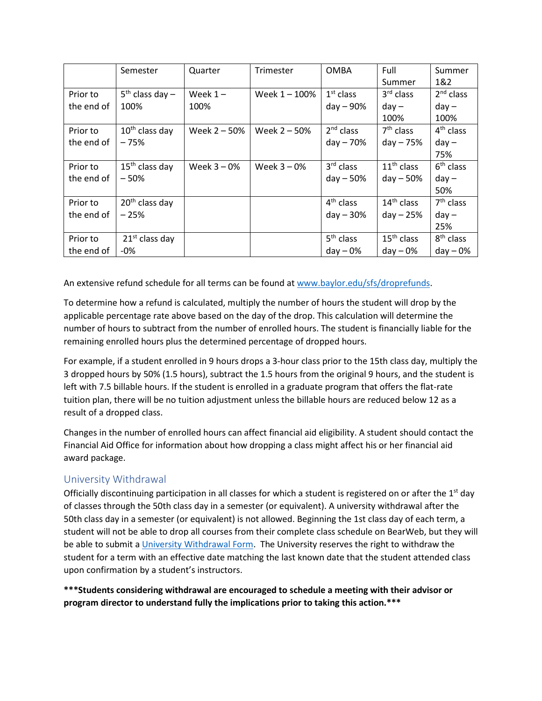|            | Semester                   | Quarter      | Trimester      | <b>OMBA</b>           | Full         | Summer                |
|------------|----------------------------|--------------|----------------|-----------------------|--------------|-----------------------|
|            |                            |              |                |                       | Summer       | 1&2                   |
| Prior to   | $5th$ class day -          | Week $1 -$   | Week 1-100%    | $1st$ class           | $3rd$ class  | $2nd$ class           |
| the end of | 100%                       | 100%         |                | day - 90%             | $day -$      | $day -$               |
|            |                            |              |                |                       | 100%         | 100%                  |
| Prior to   | $10th$ class day           | Week 2 - 50% | Week $2 - 50%$ | $2nd$ class           | $7th$ class  | 4 <sup>th</sup> class |
| the end of | $-75%$                     |              |                | $day - 70%$           | $day - 75%$  | $day -$               |
|            |                            |              |                |                       |              | 75%                   |
| Prior to   | $15th$ class day           | Week $3-0%$  | Week $3 - 0%$  | 3 <sup>rd</sup> class | $11th$ class | $6th$ class           |
| the end of | $-50%$                     |              |                | $day - 50%$           | $day - 50%$  | $day -$               |
|            |                            |              |                |                       |              | 50%                   |
| Prior to   | 20 <sup>th</sup> class day |              |                | $4th$ class           | $14th$ class | $7th$ class           |
| the end of | $-25%$                     |              |                | $day - 30%$           | $day - 25%$  | $day -$               |
|            |                            |              |                |                       |              | 25%                   |
| Prior to   | $21st$ class day           |              |                | 5 <sup>th</sup> class | $15th$ class | 8 <sup>th</sup> class |
| the end of | -0%                        |              |                | $day - 0%$            | $day - 0\%$  | $day - 0%$            |

An extensive refund schedule for all terms can be found a[t www.baylor.edu/sfs/droprefunds.](http://www.baylor.edu/sfs/droprefunds)

To determine how a refund is calculated, multiply the number of hours the student will drop by the applicable percentage rate above based on the day of the drop. This calculation will determine the number of hours to subtract from the number of enrolled hours. The student is financially liable for the remaining enrolled hours plus the determined percentage of dropped hours.

For example, if a student enrolled in 9 hours drops a 3-hour class prior to the 15th class day, multiply the 3 dropped hours by 50% (1.5 hours), subtract the 1.5 hours from the original 9 hours, and the student is left with 7.5 billable hours. If the student is enrolled in a graduate program that offers the flat-rate tuition plan, there will be no tuition adjustment unless the billable hours are reduced below 12 as a result of a dropped class.

Changes in the number of enrolled hours can affect financial aid eligibility. A student should contact the Financial Aid Office for information about how dropping a class might affect his or her financial aid award package.

# University Withdrawal

Officially discontinuing participation in all classes for which a student is registered on or after the  $1<sup>st</sup>$  day of classes through the 50th class day in a semester (or equivalent). A university withdrawal after the 50th class day in a semester (or equivalent) is not allowed. Beginning the 1st class day of each term, a student will not be able to drop all courses from their complete class schedule on BearWeb, but they will be able to submit [a University Withdrawal Form.](https://www.baylor.edu/successcenter/index.php?id=871527) The University reserves the right to withdraw the student for a term with an effective date matching the last known date that the student attended class upon confirmation by a student's instructors.

**\*\*\*Students considering withdrawal are encouraged to schedule a meeting with their advisor or program director to understand fully the implications prior to taking this action.\*\*\***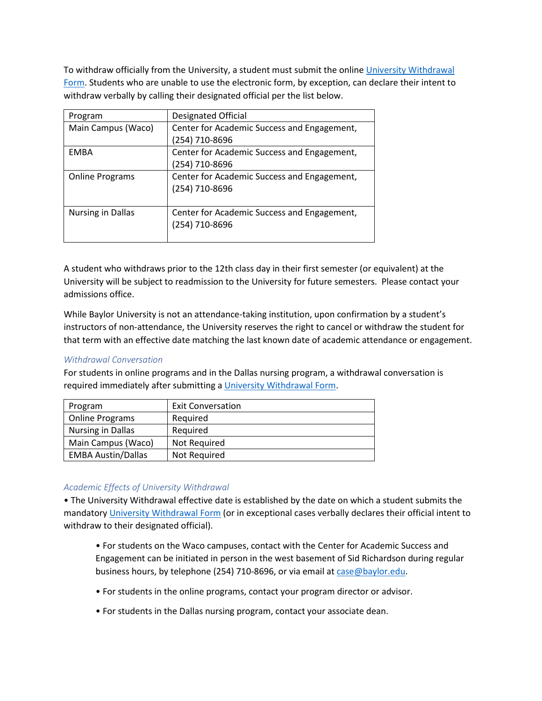To withdraw officially from the University, a student must submit the onlin[e University Withdrawal](https://www.baylor.edu/successcenter/index.php?id=871527)  [Form.](https://www.baylor.edu/successcenter/index.php?id=871527) Students who are unable to use the electronic form, by exception, can declare their intent to withdraw verbally by calling their designated official per the list below.

| Program                  | Designated Official                         |  |  |
|--------------------------|---------------------------------------------|--|--|
| Main Campus (Waco)       | Center for Academic Success and Engagement, |  |  |
|                          | (254) 710-8696                              |  |  |
| <b>EMBA</b>              | Center for Academic Success and Engagement, |  |  |
|                          | (254) 710-8696                              |  |  |
| <b>Online Programs</b>   | Center for Academic Success and Engagement, |  |  |
|                          | (254) 710-8696                              |  |  |
|                          |                                             |  |  |
| <b>Nursing in Dallas</b> | Center for Academic Success and Engagement, |  |  |
|                          | (254) 710-8696                              |  |  |
|                          |                                             |  |  |

A student who withdraws prior to the 12th class day in their first semester (or equivalent) at the University will be subject to readmission to the University for future semesters. Please contact your admissions office.

While Baylor University is not an attendance-taking institution, upon confirmation by a student's instructors of non-attendance, the University reserves the right to cancel or withdraw the student for that term with an effective date matching the last known date of academic attendance or engagement.

## *Withdrawal Conversation*

For students in online programs and in the Dallas nursing program, a withdrawal conversation is required immediately after submitting [a University Withdrawal Form.](https://www.baylor.edu/successcenter/index.php?id=871527)

| Program                   | <b>Exit Conversation</b> |
|---------------------------|--------------------------|
| <b>Online Programs</b>    | Required                 |
| <b>Nursing in Dallas</b>  | Required                 |
| Main Campus (Waco)        | Not Required             |
| <b>EMBA Austin/Dallas</b> | Not Required             |

#### *Academic Effects of University Withdrawal*

• The University Withdrawal effective date is established by the date on which a student submits the mandator[y University Withdrawal Form](https://www.baylor.edu/successcenter/index.php?id=871527) (or in exceptional cases verbally declares their official intent to withdraw to their designated official).

- For students on the Waco campuses, contact with the Center for Academic Success and Engagement can be initiated in person in the west basement of Sid Richardson during regular business hours, by telephone (254) 710-8696, or via email a[t case@baylor.edu.](mailto:Academic_Support@baylor.edu)
- For students in the online programs, contact your program director or advisor.
- For students in the Dallas nursing program, contact your associate dean.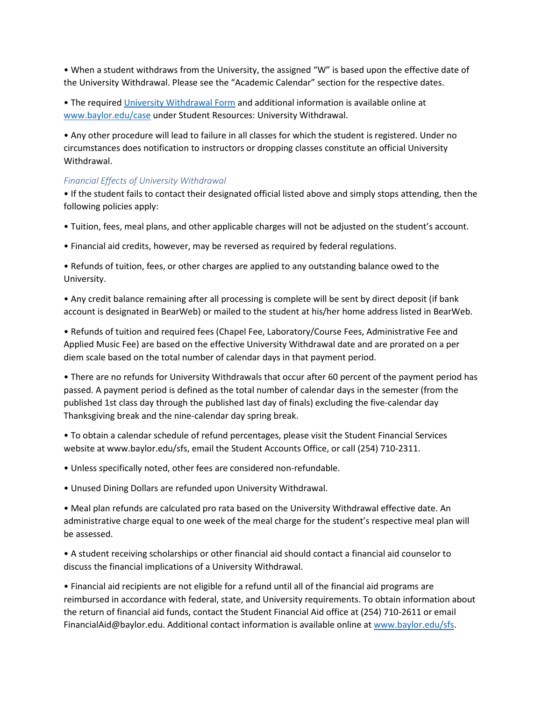• When a student withdraws from the University, the assigned "W" is based upon the effective date of the University Withdrawal. Please see the "Academic Calendar" section for the respective dates.

• The required [University Withdrawal Form](https://www.baylor.edu/case/index.php?id=978705) and additional information is available online at [www.baylor.edu/case](http://www.baylor.edu/case) under Student Resources: University Withdrawal.

• Any other procedure will lead to failure in all classes for which the student is registered. Under no circumstances does notification to instructors or dropping classes constitute an official University Withdrawal.

## *Financial Effects of University Withdrawal*

• If the student fails to contact their designated official listed above and simply stops attending, then the following policies apply:

- Tuition, fees, meal plans, and other applicable charges will not be adjusted on the student's account.
- Financial aid credits, however, may be reversed as required by federal regulations.

• Refunds of tuition, fees, or other charges are applied to any outstanding balance owed to the University.

• Any credit balance remaining after all processing is complete will be sent by direct deposit (if bank account is designated in BearWeb) or mailed to the student at his/her home address listed in BearWeb.

• Refunds of tuition and required fees (Chapel Fee, Laboratory/Course Fees, Administrative Fee and Applied Music Fee) are based on the effective University Withdrawal date and are prorated on a per diem scale based on the total number of calendar days in that payment period.

• There are no refunds for University Withdrawals that occur after 60 percent of the payment period has passed. A payment period is defined as the total number of calendar days in the semester (from the published 1st class day through the published last day of finals) excluding the five-calendar day Thanksgiving break and the nine-calendar day spring break.

• To obtain a calendar schedule of refund percentages, please visit the Student Financial Services website at www.baylor.edu/sfs, email the Student Accounts Office, or call (254) 710-2311.

• Unless specifically noted, other fees are considered non-refundable.

• Unused Dining Dollars are refunded upon University Withdrawal.

• Meal plan refunds are calculated pro rata based on the University Withdrawal effective date. An administrative charge equal to one week of the meal charge for the student's respective meal plan will be assessed.

• A student receiving scholarships or other financial aid should contact a financial aid counselor to discuss the financial implications of a University Withdrawal.

• Financial aid recipients are not eligible for a refund until all of the financial aid programs are reimbursed in accordance with federal, state, and University requirements. To obtain information about the return of financial aid funds, contact the Student Financial Aid office at (254) 710-2611 or email FinancialAid@baylor.edu. Additional contact information is available online at [www.baylor.edu/sfs.](http://www.baylor.edu/sfs)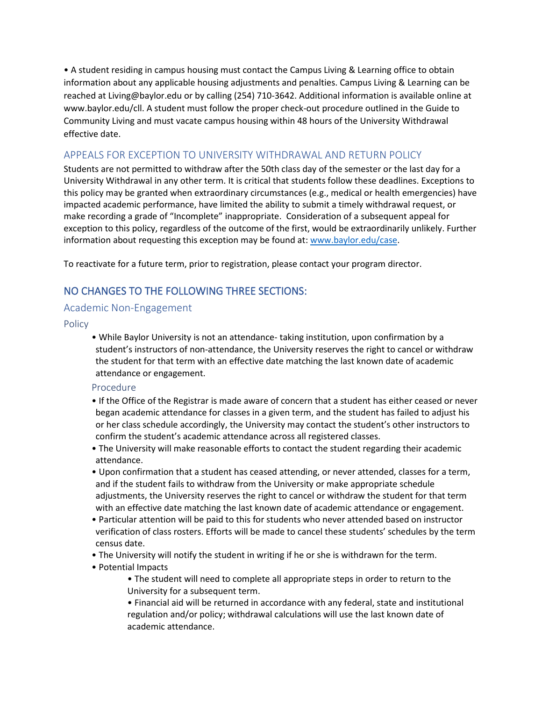• A student residing in campus housing must contact the Campus Living & Learning office to obtain information about any applicable housing adjustments and penalties. Campus Living & Learning can be reached at Living@baylor.edu or by calling (254) 710-3642. Additional information is available online at www.baylor.edu/cll. A student must follow the proper check-out procedure outlined in the Guide to Community Living and must vacate campus housing within 48 hours of the University Withdrawal effective date.

# APPEALS FOR EXCEPTION TO UNIVERSITY WITHDRAWAL AND RETURN POLICY

Students are not permitted to withdraw after the 50th class day of the semester or the last day for a University Withdrawal in any other term. It is critical that students follow these deadlines. Exceptions to this policy may be granted when extraordinary circumstances (e.g., medical or health emergencies) have impacted academic performance, have limited the ability to submit a timely withdrawal request, or make recording a grade of "Incomplete" inappropriate. Consideration of a subsequent appeal for exception to this policy, regardless of the outcome of the first, would be extraordinarily unlikely. Further information about requesting this exception may be found at[: www.baylor.edu/case.](http://www.baylor.edu/case)

To reactivate for a future term, prior to registration, please contact your program director.

# NO CHANGES TO THE FOLLOWING THREE SECTIONS:

## Academic Non-Engagement

Policy

• While Baylor University is not an attendance- taking institution, upon confirmation by a student's instructors of non-attendance, the University reserves the right to cancel or withdraw the student for that term with an effective date matching the last known date of academic attendance or engagement.

## Procedure

- If the Office of the Registrar is made aware of concern that a student has either ceased or never began academic attendance for classes in a given term, and the student has failed to adjust his or her class schedule accordingly, the University may contact the student's other instructors to confirm the student's academic attendance across all registered classes.
- The University will make reasonable efforts to contact the student regarding their academic attendance.
- Upon confirmation that a student has ceased attending, or never attended, classes for a term, and if the student fails to withdraw from the University or make appropriate schedule adjustments, the University reserves the right to cancel or withdraw the student for that term with an effective date matching the last known date of academic attendance or engagement.
- Particular attention will be paid to this for students who never attended based on instructor verification of class rosters. Efforts will be made to cancel these students' schedules by the term census date.
- The University will notify the student in writing if he or she is withdrawn for the term.
- Potential Impacts
	- The student will need to complete all appropriate steps in order to return to the University for a subsequent term.
	- Financial aid will be returned in accordance with any federal, state and institutional regulation and/or policy; withdrawal calculations will use the last known date of academic attendance.